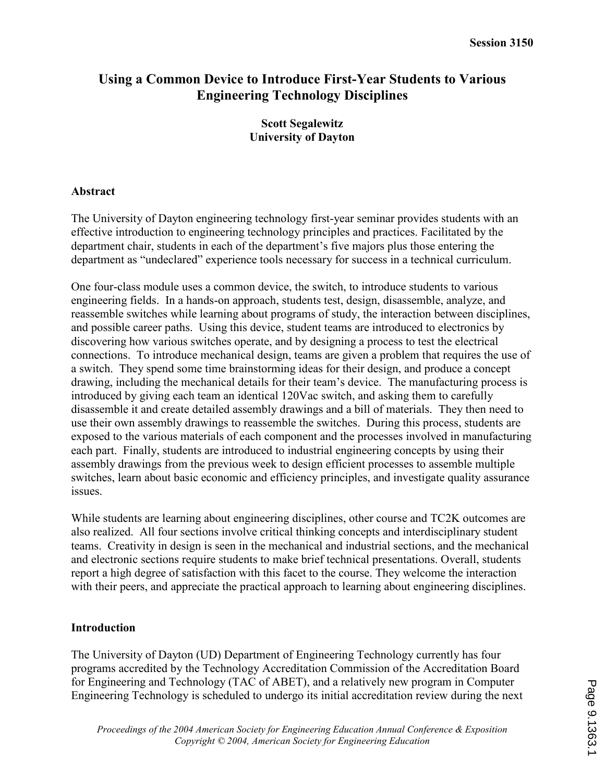# Using a Common Device to Introduce First-Year Students to Various Engineering Technology Disciplines

### Scott Segalewitz University of Dayton

### Abstract

The University of Dayton engineering technology first-year seminar provides students with an effective introduction to engineering technology principles and practices. Facilitated by the department chair, students in each of the department's five majors plus those entering the department as "undeclared" experience tools necessary for success in a technical curriculum.

One four-class module uses a common device, the switch, to introduce students to various engineering fields. In a hands-on approach, students test, design, disassemble, analyze, and reassemble switches while learning about programs of study, the interaction between disciplines, and possible career paths. Using this device, student teams are introduced to electronics by discovering how various switches operate, and by designing a process to test the electrical connections. To introduce mechanical design, teams are given a problem that requires the use of a switch. They spend some time brainstorming ideas for their design, and produce a concept drawing, including the mechanical details for their team's device. The manufacturing process is introduced by giving each team an identical 120Vac switch, and asking them to carefully disassemble it and create detailed assembly drawings and a bill of materials. They then need to use their own assembly drawings to reassemble the switches. During this process, students are exposed to the various materials of each component and the processes involved in manufacturing each part. Finally, students are introduced to industrial engineering concepts by using their assembly drawings from the previous week to design efficient processes to assemble multiple switches, learn about basic economic and efficiency principles, and investigate quality assurance issues.

While students are learning about engineering disciplines, other course and TC2K outcomes are also realized. All four sections involve critical thinking concepts and interdisciplinary student teams. Creativity in design is seen in the mechanical and industrial sections, and the mechanical and electronic sections require students to make brief technical presentations. Overall, students report a high degree of satisfaction with this facet to the course. They welcome the interaction with their peers, and appreciate the practical approach to learning about engineering disciplines.

### Introduction

The University of Dayton (UD) Department of Engineering Technology currently has four programs accredited by the Technology Accreditation Commission of the Accreditation Board for Engineering and Technology (TAC of ABET), and a relatively new program in Computer Engineering Technology is scheduled to undergo its initial accreditation review during the next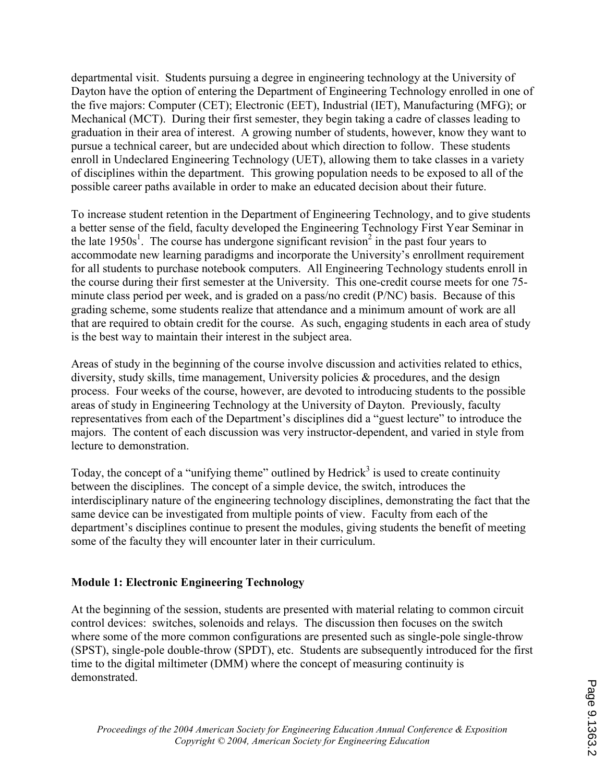departmental visit. Students pursuing a degree in engineering technology at the University of Dayton have the option of entering the Department of Engineering Technology enrolled in one of the five majors: Computer (CET); Electronic (EET), Industrial (IET), Manufacturing (MFG); or Mechanical (MCT). During their first semester, they begin taking a cadre of classes leading to graduation in their area of interest. A growing number of students, however, know they want to pursue a technical career, but are undecided about which direction to follow. These students enroll in Undeclared Engineering Technology (UET), allowing them to take classes in a variety of disciplines within the department. This growing population needs to be exposed to all of the possible career paths available in order to make an educated decision about their future.

To increase student retention in the Department of Engineering Technology, and to give students a better sense of the field, faculty developed the Engineering Technology First Year Seminar in the late  $1950s<sup>1</sup>$ . The course has undergone significant revision<sup>2</sup> in the past four years to accommodate new learning paradigms and incorporate the University's enrollment requirement for all students to purchase notebook computers. All Engineering Technology students enroll in the course during their first semester at the University. This one-credit course meets for one 75 minute class period per week, and is graded on a pass/no credit (P/NC) basis. Because of this grading scheme, some students realize that attendance and a minimum amount of work are all that are required to obtain credit for the course. As such, engaging students in each area of study is the best way to maintain their interest in the subject area.

Areas of study in the beginning of the course involve discussion and activities related to ethics, diversity, study skills, time management, University policies & procedures, and the design process. Four weeks of the course, however, are devoted to introducing students to the possible areas of study in Engineering Technology at the University of Dayton. Previously, faculty representatives from each of the Department's disciplines did a "guest lecture" to introduce the majors. The content of each discussion was very instructor-dependent, and varied in style from lecture to demonstration.

Today, the concept of a "unifying theme" outlined by Hedrick<sup>3</sup> is used to create continuity between the disciplines. The concept of a simple device, the switch, introduces the interdisciplinary nature of the engineering technology disciplines, demonstrating the fact that the same device can be investigated from multiple points of view. Faculty from each of the department's disciplines continue to present the modules, giving students the benefit of meeting some of the faculty they will encounter later in their curriculum.

## Module 1: Electronic Engineering Technology

At the beginning of the session, students are presented with material relating to common circuit control devices: switches, solenoids and relays. The discussion then focuses on the switch where some of the more common configurations are presented such as single-pole single-throw (SPST), single-pole double-throw (SPDT), etc. Students are subsequently introduced for the first time to the digital miltimeter (DMM) where the concept of measuring continuity is demonstrated.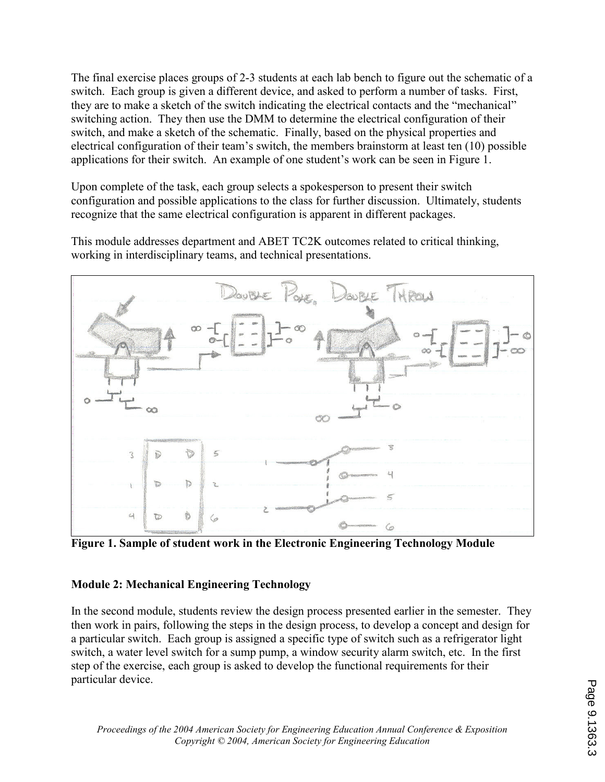The final exercise places groups of 2-3 students at each lab bench to figure out the schematic of a switch. Each group is given a different device, and asked to perform a number of tasks. First, they are to make a sketch of the switch indicating the electrical contacts and the "mechanical" switching action. They then use the DMM to determine the electrical configuration of their switch, and make a sketch of the schematic. Finally, based on the physical properties and electrical configuration of their team's switch, the members brainstorm at least ten (10) possible applications for their switch. An example of one student's work can be seen in Figure 1.

Upon complete of the task, each group selects a spokesperson to present their switch configuration and possible applications to the class for further discussion. Ultimately, students recognize that the same electrical configuration is apparent in different packages.

This module addresses department and ABET TC2K outcomes related to critical thinking, working in interdisciplinary teams, and technical presentations.



Figure 1. Sample of student work in the Electronic Engineering Technology Module

## Module 2: Mechanical Engineering Technology

In the second module, students review the design process presented earlier in the semester. They then work in pairs, following the steps in the design process, to develop a concept and design for a particular switch. Each group is assigned a specific type of switch such as a refrigerator light switch, a water level switch for a sump pump, a window security alarm switch, etc. In the first step of the exercise, each group is asked to develop the functional requirements for their particular device.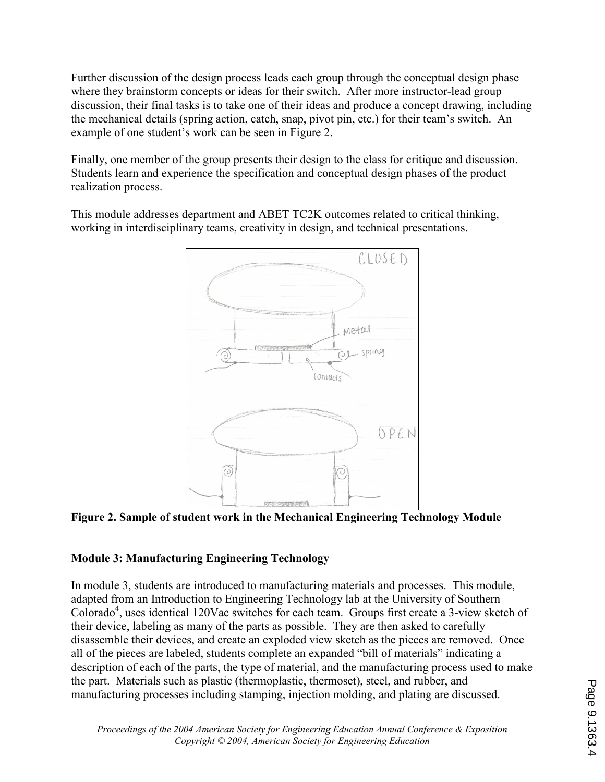Further discussion of the design process leads each group through the conceptual design phase where they brainstorm concepts or ideas for their switch. After more instructor-lead group discussion, their final tasks is to take one of their ideas and produce a concept drawing, including the mechanical details (spring action, catch, snap, pivot pin, etc.) for their team's switch. An example of one student's work can be seen in Figure 2.

Finally, one member of the group presents their design to the class for critique and discussion. Students learn and experience the specification and conceptual design phases of the product realization process.

This module addresses department and ABET TC2K outcomes related to critical thinking, working in interdisciplinary teams, creativity in design, and technical presentations.



Figure 2. Sample of student work in the Mechanical Engineering Technology Module

## Module 3: Manufacturing Engineering Technology

In module 3, students are introduced to manufacturing materials and processes. This module, adapted from an Introduction to Engineering Technology lab at the University of Southern Colorado<sup>4</sup>, uses identical 120Vac switches for each team. Groups first create a 3-view sketch of their device, labeling as many of the parts as possible. They are then asked to carefully disassemble their devices, and create an exploded view sketch as the pieces are removed. Once all of the pieces are labeled, students complete an expanded "bill of materials" indicating a description of each of the parts, the type of material, and the manufacturing process used to make the part. Materials such as plastic (thermoplastic, thermoset), steel, and rubber, and manufacturing processes including stamping, injection molding, and plating are discussed.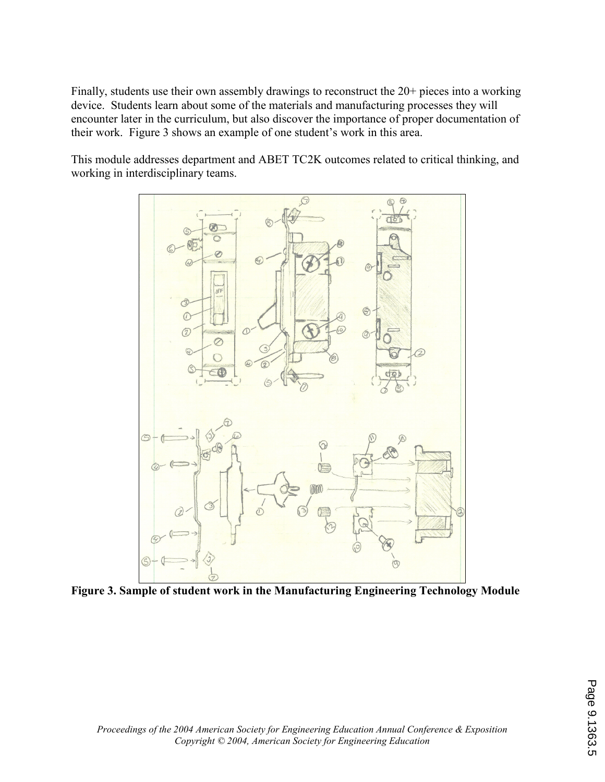Finally, students use their own assembly drawings to reconstruct the 20+ pieces into a working device. Students learn about some of the materials and manufacturing processes they will encounter later in the curriculum, but also discover the importance of proper documentation of their work. Figure 3 shows an example of one student's work in this area.

This module addresses department and ABET TC2K outcomes related to critical thinking, and working in interdisciplinary teams.



Figure 3. Sample of student work in the Manufacturing Engineering Technology Module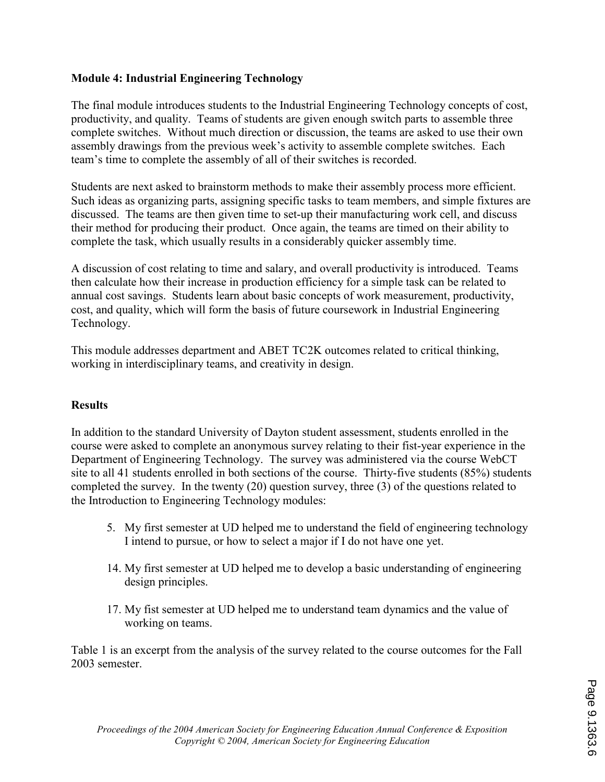### Module 4: Industrial Engineering Technology

The final module introduces students to the Industrial Engineering Technology concepts of cost, productivity, and quality. Teams of students are given enough switch parts to assemble three complete switches. Without much direction or discussion, the teams are asked to use their own assembly drawings from the previous week's activity to assemble complete switches. Each team's time to complete the assembly of all of their switches is recorded.

Students are next asked to brainstorm methods to make their assembly process more efficient. Such ideas as organizing parts, assigning specific tasks to team members, and simple fixtures are discussed. The teams are then given time to set-up their manufacturing work cell, and discuss their method for producing their product. Once again, the teams are timed on their ability to complete the task, which usually results in a considerably quicker assembly time.

A discussion of cost relating to time and salary, and overall productivity is introduced. Teams then calculate how their increase in production efficiency for a simple task can be related to annual cost savings. Students learn about basic concepts of work measurement, productivity, cost, and quality, which will form the basis of future coursework in Industrial Engineering Technology.

This module addresses department and ABET TC2K outcomes related to critical thinking, working in interdisciplinary teams, and creativity in design.

### **Results**

In addition to the standard University of Dayton student assessment, students enrolled in the course were asked to complete an anonymous survey relating to their fist-year experience in the Department of Engineering Technology. The survey was administered via the course WebCT site to all 41 students enrolled in both sections of the course. Thirty-five students (85%) students completed the survey. In the twenty (20) question survey, three (3) of the questions related to the Introduction to Engineering Technology modules:

- 5. My first semester at UD helped me to understand the field of engineering technology I intend to pursue, or how to select a major if I do not have one yet.
- 14. My first semester at UD helped me to develop a basic understanding of engineering design principles.
- 17. My fist semester at UD helped me to understand team dynamics and the value of working on teams.

Table 1 is an excerpt from the analysis of the survey related to the course outcomes for the Fall 2003 semester.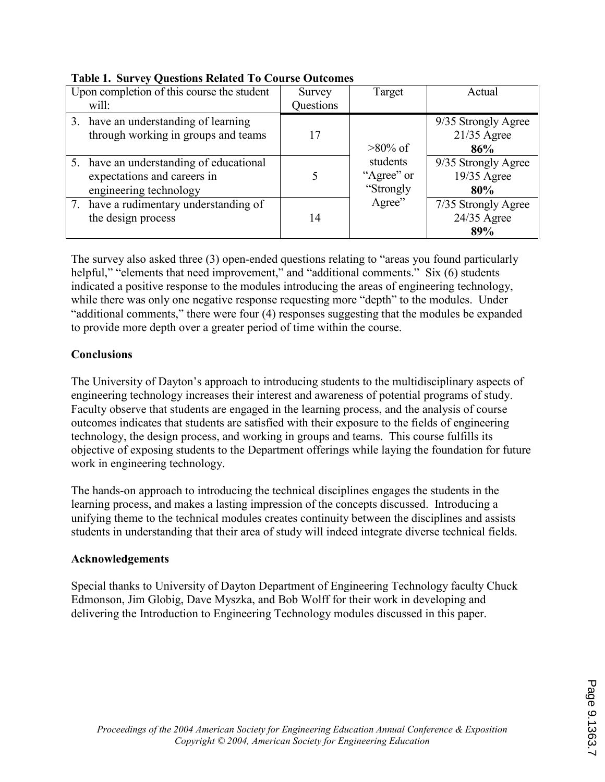| Upon completion of this course the student                                                       | Survey    | Target                              | Actual                                      |
|--------------------------------------------------------------------------------------------------|-----------|-------------------------------------|---------------------------------------------|
| will:                                                                                            | Questions |                                     |                                             |
| 3. have an understanding of learning<br>through working in groups and teams                      | 17        | $>80\%$ of                          | 9/35 Strongly Agree<br>$21/35$ Agree<br>86% |
| 5. have an understanding of educational<br>expectations and careers in<br>engineering technology |           | students<br>"Agree" or<br>"Strongly | 9/35 Strongly Agree<br>19/35 Agree<br>80%   |
| 7. have a rudimentary understanding of<br>the design process                                     | 14        | Agree"                              | 7/35 Strongly Agree<br>$24/35$ Agree<br>89% |

|  | <b>Table 1. Survey Questions Related To Course Outcomes</b> |  |
|--|-------------------------------------------------------------|--|
|  |                                                             |  |

The survey also asked three (3) open-ended questions relating to "areas you found particularly helpful," "elements that need improvement," and "additional comments." Six (6) students indicated a positive response to the modules introducing the areas of engineering technology, while there was only one negative response requesting more "depth" to the modules. Under "additional comments," there were four (4) responses suggesting that the modules be expanded to provide more depth over a greater period of time within the course.

### **Conclusions**

The University of Dayton's approach to introducing students to the multidisciplinary aspects of engineering technology increases their interest and awareness of potential programs of study. Faculty observe that students are engaged in the learning process, and the analysis of course outcomes indicates that students are satisfied with their exposure to the fields of engineering technology, the design process, and working in groups and teams. This course fulfills its objective of exposing students to the Department offerings while laying the foundation for future work in engineering technology.

The hands-on approach to introducing the technical disciplines engages the students in the learning process, and makes a lasting impression of the concepts discussed. Introducing a unifying theme to the technical modules creates continuity between the disciplines and assists students in understanding that their area of study will indeed integrate diverse technical fields.

### Acknowledgements

Special thanks to University of Dayton Department of Engineering Technology faculty Chuck Edmonson, Jim Globig, Dave Myszka, and Bob Wolff for their work in developing and delivering the Introduction to Engineering Technology modules discussed in this paper.